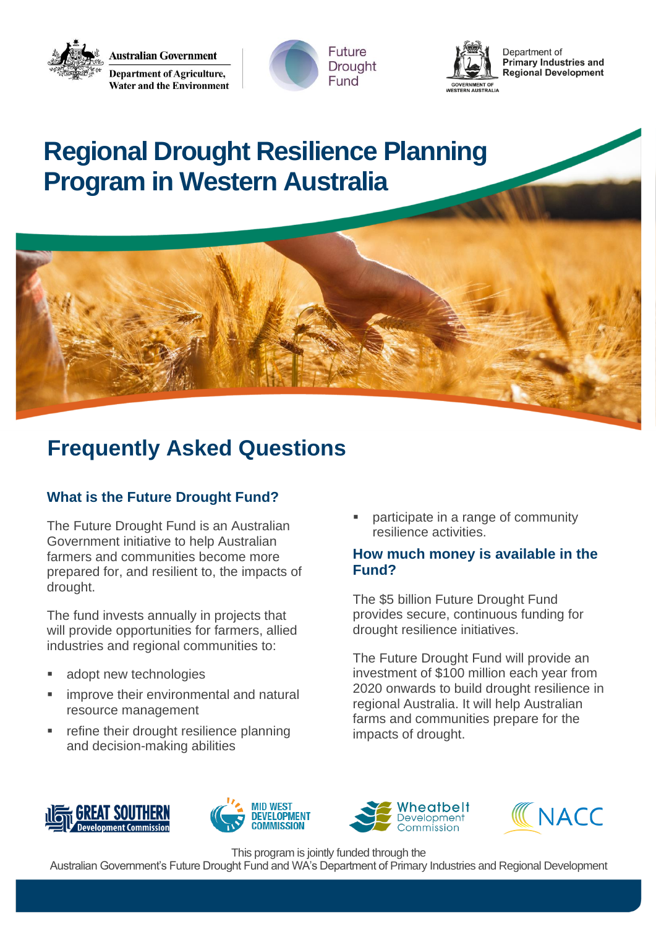**Australian Government Department of Agriculture, Water and the Environment** 





Department of **Primary Industries and Regional Development** 

# **Regional Drought Resilience Planning Program in Western Australia**



# **Frequently Asked Questions**

# **What is the Future Drought Fund?**

The Future Drought Fund is an Australian Government initiative to help Australian farmers and communities become more prepared for, and resilient to, the impacts of drought.

The fund invests annually in projects that will provide opportunities for farmers, allied industries and regional communities to:

- adopt new technologies
- improve their environmental and natural resource management
- refine their drought resilience planning and decision-making abilities

participate in a range of community resilience activities.

#### **How much money is available in the Fund?**

The \$5 billion Future Drought Fund provides secure, continuous funding for drought resilience initiatives.

The Future Drought Fund will provide an investment of \$100 million each year from 2020 onwards to build drought resilience in regional Australia. It will help Australian farms and communities prepare for the impacts of drought.









This program is jointly funded through the

Australian Government's Future Drought Fund and WA's Department of Primary Industries and Regional Development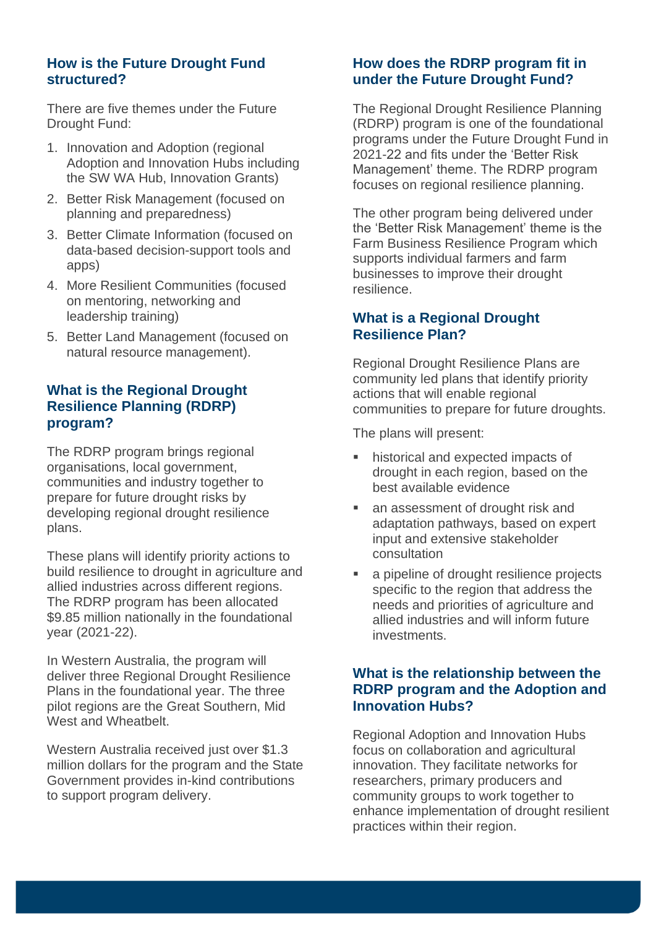#### **How is the Future Drought Fund structured?**

There are five themes under the Future Drought Fund:

- 1. Innovation and Adoption (regional Adoption and Innovation Hubs including the SW WA Hub, Innovation Grants)
- 2. Better Risk Management (focused on planning and preparedness)
- 3. Better Climate Information (focused on data-based decision-support tools and apps)
- 4. More Resilient Communities (focused on mentoring, networking and leadership training)
- 5. Better Land Management (focused on natural resource management).

#### **What is the Regional Drought Resilience Planning (RDRP) program?**

The RDRP program brings regional organisations, local government, communities and industry together to prepare for future drought risks by developing regional drought resilience plans.

These plans will identify priority actions to build resilience to drought in agriculture and allied industries across different regions. The RDRP program has been allocated \$9.85 million nationally in the foundational year (2021-22).

In Western Australia, the program will deliver three Regional Drought Resilience Plans in the foundational year. The three pilot regions are the Great Southern, Mid West and Wheatbelt.

Western Australia received just over \$1.3 million dollars for the program and the State Government provides in-kind contributions to support program delivery.

#### **How does the RDRP program fit in under the Future Drought Fund?**

The Regional Drought Resilience Planning (RDRP) program is one of the foundational programs under the Future Drought Fund in 2021-22 and fits under the 'Better Risk Management' theme. The RDRP program focuses on regional resilience planning.

The other program being delivered under the 'Better Risk Management' theme is the Farm Business Resilience Program which supports individual farmers and farm businesses to improve their drought resilience.

#### **What is a Regional Drought Resilience Plan?**

Regional Drought Resilience Plans are community led plans that identify priority actions that will enable regional communities to prepare for future droughts.

The plans will present:

- historical and expected impacts of drought in each region, based on the best available evidence
- an assessment of drought risk and adaptation pathways, based on expert input and extensive stakeholder consultation
- a pipeline of drought resilience projects specific to the region that address the needs and priorities of agriculture and allied industries and will inform future investments.

#### **What is the relationship between the RDRP program and the Adoption and Innovation Hubs?**

Regional Adoption and Innovation Hubs focus on collaboration and agricultural innovation. They facilitate networks for researchers, primary producers and community groups to work together to enhance implementation of drought resilient practices within their region.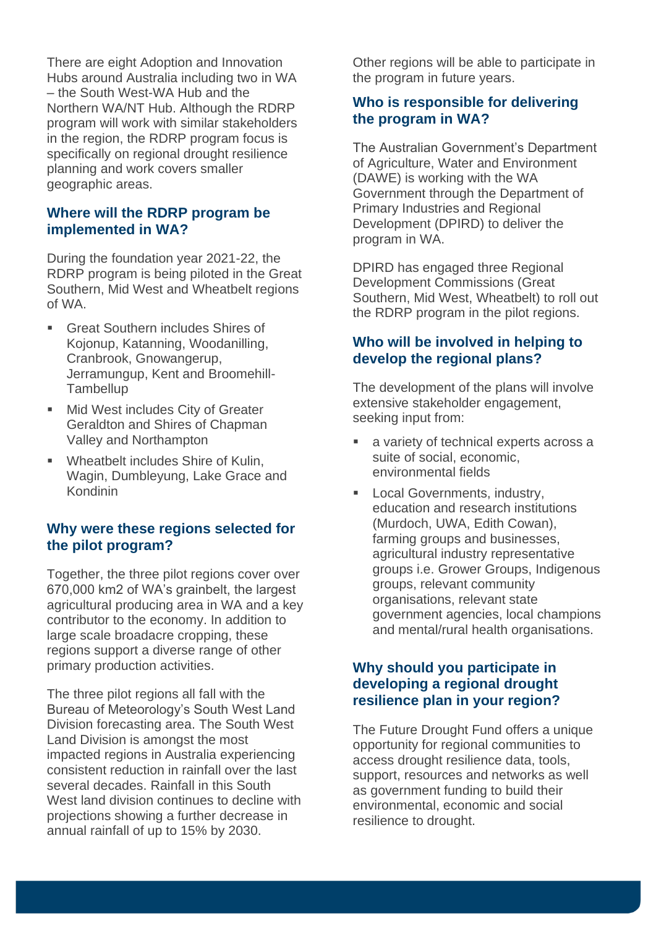There are eight Adoption and Innovation Hubs around Australia including two in WA – the South West-WA Hub and the Northern WA/NT Hub. Although the RDRP program will work with similar stakeholders in the region, the RDRP program focus is specifically on regional drought resilience planning and work covers smaller geographic areas.

#### **Where will the RDRP program be implemented in WA?**

During the foundation year 2021-22, the RDRP program is being piloted in the Great Southern, Mid West and Wheatbelt regions of WA.

- Great Southern includes Shires of Kojonup, Katanning, Woodanilling, Cranbrook, Gnowangerup, Jerramungup, Kent and Broomehill-**Tambellup**
- Mid West includes City of Greater Geraldton and Shires of Chapman Valley and Northampton
- Wheatbelt includes Shire of Kulin, Wagin, Dumbleyung, Lake Grace and Kondinin

#### **Why were these regions selected for the pilot program?**

Together, the three pilot regions cover over 670,000 km2 of WA's grainbelt, the largest agricultural producing area in WA and a key contributor to the economy. In addition to large scale broadacre cropping, these regions support a diverse range of other primary production activities.

The three pilot regions all fall with the Bureau of Meteorology's South West Land Division forecasting area. The South West Land Division is amongst the most impacted regions in Australia experiencing consistent reduction in rainfall over the last several decades. Rainfall in this South West land division continues to decline with projections showing a further decrease in annual rainfall of up to 15% by 2030.

Other regions will be able to participate in the program in future years.

#### **Who is responsible for delivering the program in WA?**

The Australian Government's Department of Agriculture, Water and Environment (DAWE) is working with the WA Government through the Department of Primary Industries and Regional Development (DPIRD) to deliver the program in WA.

DPIRD has engaged three Regional Development Commissions (Great Southern, Mid West, Wheatbelt) to roll out the RDRP program in the pilot regions.

#### **Who will be involved in helping to develop the regional plans?**

The development of the plans will involve extensive stakeholder engagement, seeking input from:

- a variety of technical experts across a suite of social, economic, environmental fields
- Local Governments, industry, education and research institutions (Murdoch, UWA, Edith Cowan), farming groups and businesses, agricultural industry representative groups i.e. Grower Groups, Indigenous groups, relevant community organisations, relevant state government agencies, local champions and mental/rural health organisations.

#### **Why should you participate in developing a regional drought resilience plan in your region?**

The Future Drought Fund offers a unique opportunity for regional communities to access drought resilience data, tools, support, resources and networks as well as government funding to build their environmental, economic and social resilience to drought.